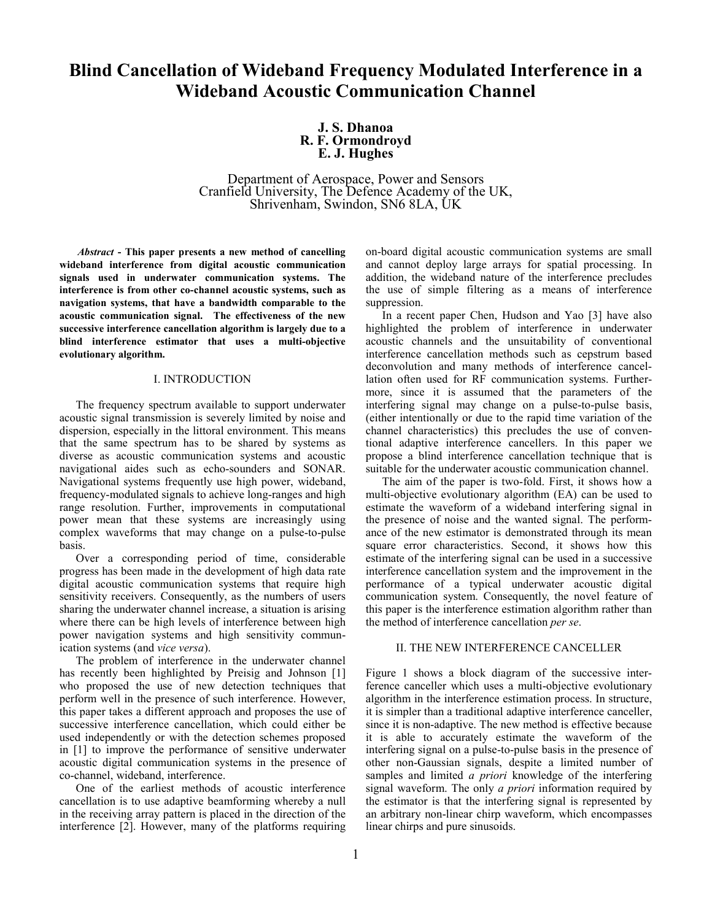# **Blind Cancellation of Wideband Frequency Modulated Interference in a Wideband Acoustic Communication Channel**

# **J. S. Dhanoa R. F. Ormondroyd E. J. Hughes**

Department of Aerospace, Power and Sensors Cranfield University, The Defence Academy of the UK, Shrivenham, Swindon, SN6 8LA, UK

*Abstract* **- This paper presents a new method of cancelling wideband interference from digital acoustic communication signals used in underwater communication systems. The interference is from other co-channel acoustic systems, such as navigation systems, that have a bandwidth comparable to the acoustic communication signal. The effectiveness of the new successive interference cancellation algorithm is largely due to a blind interference estimator that uses a multi-objective evolutionary algorithm.** 

#### I. INTRODUCTION

The frequency spectrum available to support underwater acoustic signal transmission is severely limited by noise and dispersion, especially in the littoral environment. This means that the same spectrum has to be shared by systems as diverse as acoustic communication systems and acoustic navigational aides such as echo-sounders and SONAR. Navigational systems frequently use high power, wideband, frequency-modulated signals to achieve long-ranges and high range resolution. Further, improvements in computational power mean that these systems are increasingly using complex waveforms that may change on a pulse-to-pulse basis.

Over a corresponding period of time, considerable progress has been made in the development of high data rate digital acoustic communication systems that require high sensitivity receivers. Consequently, as the numbers of users sharing the underwater channel increase, a situation is arising where there can be high levels of interference between high power navigation systems and high sensitivity communication systems (and *vice versa*).

The problem of interference in the underwater channel has recently been highlighted by Preisig and Johnson [1] who proposed the use of new detection techniques that perform well in the presence of such interference. However, this paper takes a different approach and proposes the use of successive interference cancellation, which could either be used independently or with the detection schemes proposed in [1] to improve the performance of sensitive underwater acoustic digital communication systems in the presence of co-channel, wideband, interference.

One of the earliest methods of acoustic interference cancellation is to use adaptive beamforming whereby a null in the receiving array pattern is placed in the direction of the interference [2]. However, many of the platforms requiring on-board digital acoustic communication systems are small and cannot deploy large arrays for spatial processing. In addition, the wideband nature of the interference precludes the use of simple filtering as a means of interference suppression.

In a recent paper Chen, Hudson and Yao [3] have also highlighted the problem of interference in underwater acoustic channels and the unsuitability of conventional interference cancellation methods such as cepstrum based deconvolution and many methods of interference cancellation often used for RF communication systems. Furthermore, since it is assumed that the parameters of the interfering signal may change on a pulse-to-pulse basis, (either intentionally or due to the rapid time variation of the channel characteristics) this precludes the use of conventional adaptive interference cancellers. In this paper we propose a blind interference cancellation technique that is suitable for the underwater acoustic communication channel.

The aim of the paper is two-fold. First, it shows how a multi-objective evolutionary algorithm (EA) can be used to estimate the waveform of a wideband interfering signal in the presence of noise and the wanted signal. The performance of the new estimator is demonstrated through its mean square error characteristics. Second, it shows how this estimate of the interfering signal can be used in a successive interference cancellation system and the improvement in the performance of a typical underwater acoustic digital communication system. Consequently, the novel feature of this paper is the interference estimation algorithm rather than the method of interference cancellation *per se*.

## II. THE NEW INTERFERENCE CANCELLER

Figure 1 shows a block diagram of the successive interference canceller which uses a multi-objective evolutionary algorithm in the interference estimation process. In structure, it is simpler than a traditional adaptive interference canceller, since it is non-adaptive. The new method is effective because it is able to accurately estimate the waveform of the interfering signal on a pulse-to-pulse basis in the presence of other non-Gaussian signals, despite a limited number of samples and limited *a priori* knowledge of the interfering signal waveform. The only *a priori* information required by the estimator is that the interfering signal is represented by an arbitrary non-linear chirp waveform, which encompasses linear chirps and pure sinusoids.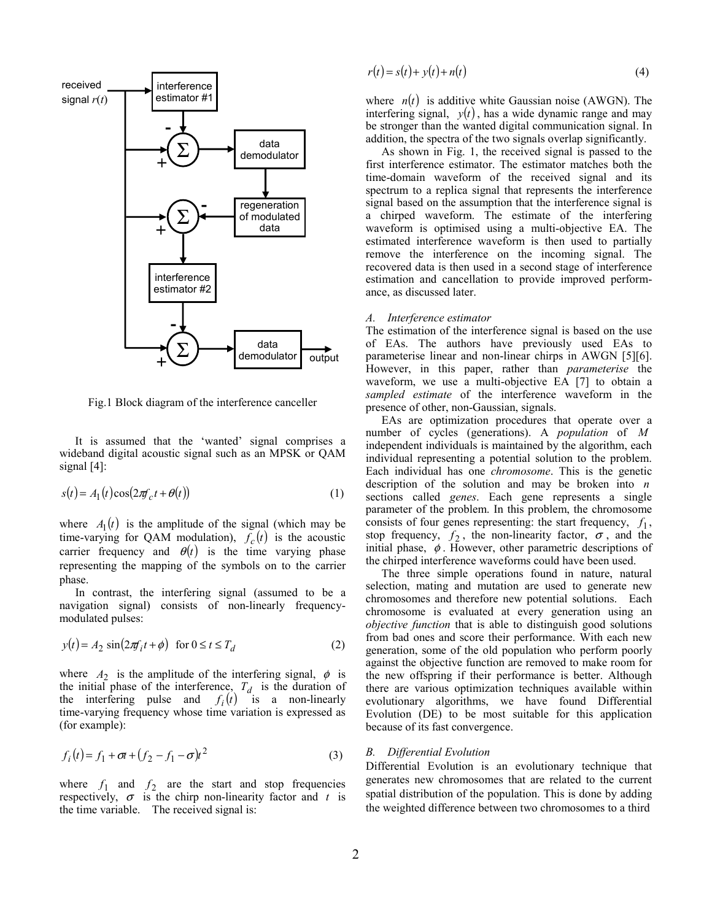

Fig.1 Block diagram of the interference canceller

It is assumed that the 'wanted' signal comprises a wideband digital acoustic signal such as an MPSK or QAM signal [4]:

$$
s(t) = A_1(t)\cos(2\pi f_c t + \theta(t))
$$
\n(1)

where  $A_1(t)$  is the amplitude of the signal (which may be time-varying for QAM modulation),  $f_c(t)$  is the acoustic carrier frequency and  $\theta(t)$  is the time varying phase representing the mapping of the symbols on to the carrier phase.

In contrast, the interfering signal (assumed to be a navigation signal) consists of non-linearly frequencymodulated pulses:

$$
y(t) = A_2 \sin(2\pi f_i t + \phi) \quad \text{for } 0 \le t \le T_d \tag{2}
$$

where  $A_2$  is the amplitude of the interfering signal,  $\phi$  is the initial phase of the interference,  $T_d$  is the duration of the interfering pulse and  $f_i(t)$  is a non-linearly time-varying frequency whose time variation is expressed as (for example):

$$
f_i(t) = f_1 + \sigma t + (f_2 - f_1 - \sigma)t^2
$$
 (3)

where  $f_1$  and  $f_2$  are the start and stop frequencies respectively,  $\sigma$  is the chirp non-linearity factor and *t* is the time variable. The received signal is:

$$
r(t) = s(t) + y(t) + n(t)
$$
\n<sup>(4)</sup>

where  $n(t)$  is additive white Gaussian noise (AWGN). The interfering signal,  $y(t)$ , has a wide dynamic range and may be stronger than the wanted digital communication signal. In addition, the spectra of the two signals overlap significantly.

As shown in Fig. 1, the received signal is passed to the first interference estimator. The estimator matches both the time-domain waveform of the received signal and its spectrum to a replica signal that represents the interference signal based on the assumption that the interference signal is a chirped waveform. The estimate of the interfering waveform is optimised using a multi-objective EA. The estimated interference waveform is then used to partially remove the interference on the incoming signal. The recovered data is then used in a second stage of interference estimation and cancellation to provide improved performance, as discussed later.

#### *A. Interference estimator*

The estimation of the interference signal is based on the use of EAs. The authors have previously used EAs to parameterise linear and non-linear chirps in AWGN [5][6]. However, in this paper, rather than *parameterise* the waveform, we use a multi-objective EA [7] to obtain a *sampled estimate* of the interference waveform in the presence of other, non-Gaussian, signals.

EAs are optimization procedures that operate over a number of cycles (generations). A *population* of *M* independent individuals is maintained by the algorithm, each individual representing a potential solution to the problem. Each individual has one *chromosome*. This is the genetic description of the solution and may be broken into *n* sections called *genes*. Each gene represents a single parameter of the problem. In this problem, the chromosome consists of four genes representing: the start frequency,  $f_1$ , stop frequency,  $f_2$ , the non-linearity factor,  $\sigma$ , and the initial phase,  $\phi$ . However, other parametric descriptions of the chirped interference waveforms could have been used.

The three simple operations found in nature, natural selection, mating and mutation are used to generate new chromosomes and therefore new potential solutions. Each chromosome is evaluated at every generation using an *objective function* that is able to distinguish good solutions from bad ones and score their performance. With each new generation, some of the old population who perform poorly against the objective function are removed to make room for the new offspring if their performance is better. Although there are various optimization techniques available within evolutionary algorithms, we have found Differential Evolution (DE) to be most suitable for this application because of its fast convergence.

### *B. Differential Evolution*

Differential Evolution is an evolutionary technique that generates new chromosomes that are related to the current spatial distribution of the population. This is done by adding the weighted difference between two chromosomes to a third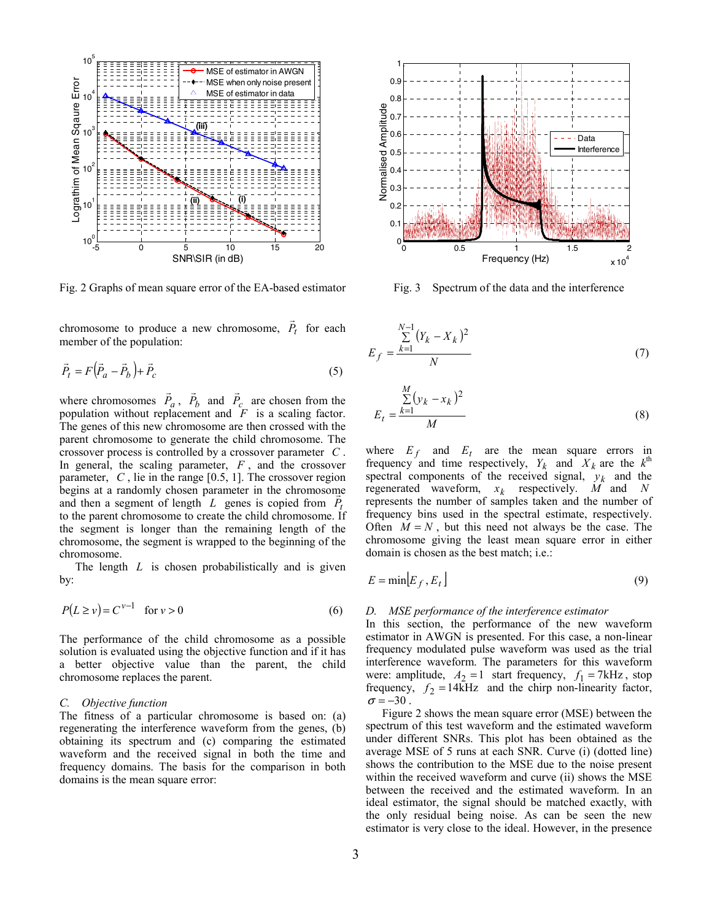

Fig. 2 Graphs of mean square error of the EA-based estimator

chromosome to produce a new chromosome,  $P_t$  $\overline{\phantom{a}}$  for each member of the population:

$$
\vec{P}_t = F(\vec{P}_a - \vec{P}_b) + \vec{P}_c
$$
\n<sup>(5)</sup>

where chromosomes  $\vec{P}_a$ ,  $\vec{P}_b$  and  $\vec{P}_c$  are chosen from the population without replacement and *F* is a scaling factor. The genes of this new chromosome are then crossed with the parent chromosome to generate the child chromosome. The crossover process is controlled by a crossover parameter *C* . In general, the scaling parameter, *F* , and the crossover parameter, *C* , lie in the range [0.5, 1]. The crossover region begins at a randomly chosen parameter in the chromosome and then a segment of length *L* genes is copied from  $P_t$ to the parent chromosome to create the child chromosome. If the segment is longer than the remaining length of the chromosome, the segment is wrapped to the beginning of the chromosome.

The length *L* is chosen probabilistically and is given by:

$$
P(L \ge v) = C^{\nu - 1} \quad \text{for } \nu > 0 \tag{6}
$$

The performance of the child chromosome as a possible solution is evaluated using the objective function and if it has a better objective value than the parent, the child chromosome replaces the parent.

#### *C. Objective function*

The fitness of a particular chromosome is based on: (a) regenerating the interference waveform from the genes, (b) obtaining its spectrum and (c) comparing the estimated waveform and the received signal in both the time and frequency domains. The basis for the comparison in both domains is the mean square error:



Fig. 3 Spectrum of the data and the interference

$$
E_f = \frac{\sum_{k=1}^{N-1} (Y_k - X_k)^2}{N}
$$
 (7)

$$
E_t = \frac{\sum_{k=1}^{M} (y_k - x_k)^2}{M}
$$
 (8)

where  $E_f$  and  $E_t$  are the mean square errors in frequency and time respectively,  $Y_k$  and  $X_k$  are the  $k^{\text{th}}$ spectral components of the received signal,  $y_k$  and the regenerated waveform,  $x_k$  respectively. *M* and *N* represents the number of samples taken and the number of frequency bins used in the spectral estimate, respectively. Often  $M = N$ , but this need not always be the case. The chromosome giving the least mean square error in either domain is chosen as the best match; i.e.:

$$
E = \min[E_f, E_t]
$$
 (9)

#### *D. MSE performance of the interference estimator*

In this section, the performance of the new waveform estimator in AWGN is presented. For this case, a non-linear frequency modulated pulse waveform was used as the trial interference waveform. The parameters for this waveform were: amplitude,  $A_2 = 1$  start frequency,  $f_1 = 7$  *kHz*, stop frequency,  $f_2 = 14$ *kHz* and the chirp non-linearity factor,  $\sigma = -30$ .

Figure 2 shows the mean square error (MSE) between the spectrum of this test waveform and the estimated waveform under different SNRs. This plot has been obtained as the average MSE of 5 runs at each SNR. Curve (i) (dotted line) shows the contribution to the MSE due to the noise present within the received waveform and curve (ii) shows the MSE between the received and the estimated waveform. In an ideal estimator, the signal should be matched exactly, with the only residual being noise. As can be seen the new estimator is very close to the ideal. However, in the presence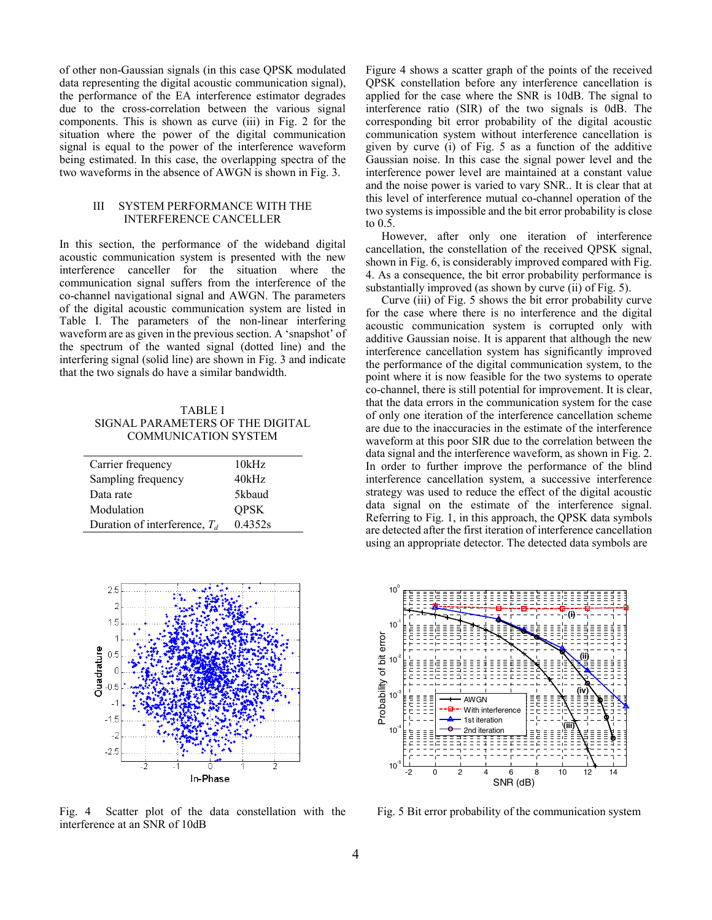of other non-Gaussian signals (in this case QPSK modulated data representing the digital acoustic communication signal), the performance of the EA interference estimator degrades due to the cross-correlation between the various signal components. This is shown as curve (iii) in Fig. 2 for the situation where the power of the digital communication signal is equal to the power of the interference waveform being estimated. In this case, the overlapping spectra of the two waveforms in the absence of AWGN is shown in Fig. 3.

# III SYSTEM PERFORMANCE WITH THE INTERFERENCE CANCELLER

In this section, the performance of the wideband digital acoustic communication system is presented with the new interference canceller for the situation where the communication signal suffers from the interference of the co-channel navigational signal and AWGN. The parameters of the digital acoustic communication system are listed in Table I. The parameters of the non-linear interfering waveform are as given in the previous section. A 'snapshot' of the spectrum of the wanted signal (dotted line) and the interfering signal (solid line) are shown in Fig. 3 and indicate that the two signals do have a similar bandwidth.

TABLE I SIGNAL PARAMETERS OF THE DIGITAL COMMUNICATION SYSTEM

| Carrier frequency               | 10kHz       |
|---------------------------------|-------------|
| Sampling frequency              | 40kHz       |
| Data rate                       | 5kbaud      |
| Modulation                      | <b>OPSK</b> |
| Duration of interference, $T_d$ | 0.4352s     |



Fig. 4 Scatter plot of the data constellation with the interference at an SNR of 10dB

Figure 4 shows a scatter graph of the points of the received QPSK constellation before any interference cancellation is applied for the case where the SNR is 10dB. The signal to interference ratio (SIR) of the two signals is 0dB. The corresponding bit error probability of the digital acoustic communication system without interference cancellation is given by curve (i) of Fig. 5 as a function of the additive Gaussian noise. In this case the signal power level and the interference power level are maintained at a constant value and the noise power is varied to vary SNR.. It is clear that at this level of interference mutual co-channel operation of the two systems is impossible and the bit error probability is close to 0.5.

However, after only one iteration of interference cancellation, the constellation of the received QPSK signal, shown in Fig. 6, is considerably improved compared with Fig. 4. As a consequence, the bit error probability performance is substantially improved (as shown by curve (ii) of Fig. 5).

Curve (iii) of Fig. 5 shows the bit error probability curve for the case where there is no interference and the digital acoustic communication system is corrupted only with additive Gaussian noise. It is apparent that although the new interference cancellation system has significantly improved the performance of the digital communication system, to the point where it is now feasible for the two systems to operate co-channel, there is still potential for improvement. It is clear, that the data errors in the communication system for the case of only one iteration of the interference cancellation scheme are due to the inaccuracies in the estimate of the interference waveform at this poor SIR due to the correlation between the data signal and the interference waveform, as shown in Fig. 2. In order to further improve the performance of the blind interference cancellation system, a successive interference strategy was used to reduce the effect of the digital acoustic data signal on the estimate of the interference signal. Referring to Fig. 1, in this approach, the QPSK data symbols are detected after the first iteration of interference cancellation using an appropriate detector. The detected data symbols are



Fig. 5 Bit error probability of the communication system